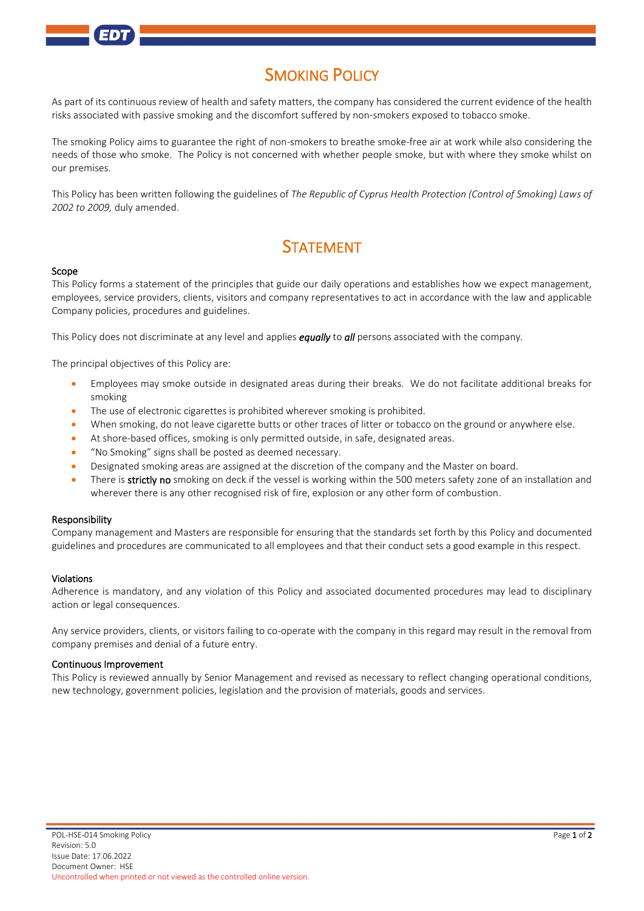# **SMOKING POLICY**

As part of its continuous review of health and safety matters, the company has considered the current evidence of the health risks associated with passive smoking and the discomfort suffered by non-smokers exposed to tobacco smoke.

The smoking Policy aims to guarantee the right of non-smokers to breathe smoke-free air at work while also considering the needs of those who smoke. The Policy is not concerned with whether people smoke, but with where they smoke whilst on our premises.

This Policy has been written following the guidelines of *The Republic of Cyprus Health Protection (Control of Smoking) Laws of 2002 to 2009,* duly amended.

## **STATEMENT**

#### Scope

This Policy forms a statement of the principles that guide our daily operations and establishes how we expect management, employees, service providers, clients, visitors and company representatives to act in accordance with the law and applicable Company policies, procedures and guidelines.

This Policy does not discriminate at any level and applies *equally* to *all* persons associated with the company*.*

The principal objectives of this Policy are:

- Employees may smoke outside in designated areas during their breaks. We do not facilitate additional breaks for smoking
- The use of electronic cigarettes is prohibited wherever smoking is prohibited.
- When smoking, do not leave cigarette butts or other traces of litter or tobacco on the ground or anywhere else.
- At shore-based offices, smoking is only permitted outside, in safe, designated areas.
- "No Smoking" signs shall be posted as deemed necessary.
- Designated smoking areas are assigned at the discretion of the company and the Master on board.
- There is strictly no smoking on deck if the vessel is working within the 500 meters safety zone of an installation and wherever there is any other recognised risk of fire, explosion or any other form of combustion.

#### Responsibility

Company management and Masters are responsible for ensuring that the standards set forth by this Policy and documented guidelines and procedures are communicated to all employees and that their conduct sets a good example in this respect.

#### Violations

Adherence is mandatory, and any violation of this Policy and associated documented procedures may lead to disciplinary action or legal consequences.

Any service providers, clients, or visitors failing to co-operate with the company in this regard may result in the removal from company premises and denial of a future entry.

#### Continuous Improvement

This Policy is reviewed annually by Senior Management and revised as necessary to reflect changing operational conditions, new technology, government policies, legislation and the provision of materials, goods and services.